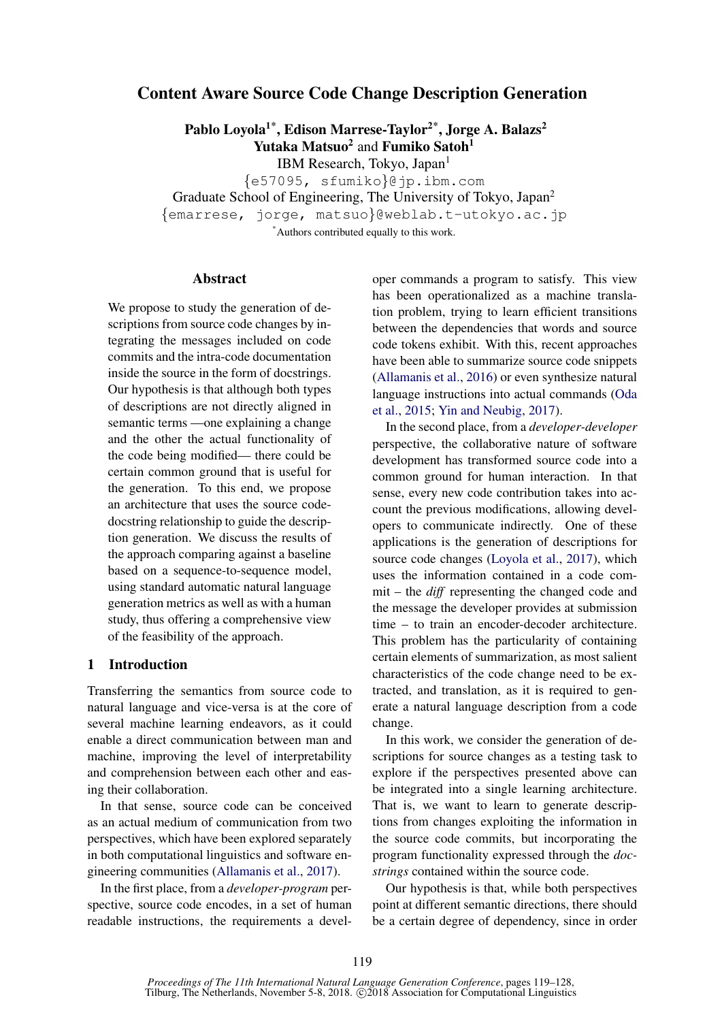# <span id="page-0-0"></span>Content Aware Source Code Change Description Generation

Pablo Loyola<sup>1\*</sup>, Edison Marrese-Taylor<sup>2\*</sup>, Jorge A. Balazs<sup>2</sup> Yutaka Matsuo<sup>2</sup> and Fumiko Satoh<sup>1</sup>

IBM Research, Tokyo, Japan<sup>1</sup>

{e57095, sfumiko}@jp.ibm.com Graduate School of Engineering, The University of Tokyo, Japan<sup>2</sup> {emarrese, jorge, matsuo}@weblab.t-utokyo.ac.jp

\*Authors contributed equally to this work.

# Abstract

We propose to study the generation of descriptions from source code changes by integrating the messages included on code commits and the intra-code documentation inside the source in the form of docstrings. Our hypothesis is that although both types of descriptions are not directly aligned in semantic terms —one explaining a change and the other the actual functionality of the code being modified— there could be certain common ground that is useful for the generation. To this end, we propose an architecture that uses the source codedocstring relationship to guide the description generation. We discuss the results of the approach comparing against a baseline based on a sequence-to-sequence model, using standard automatic natural language generation metrics as well as with a human study, thus offering a comprehensive view of the feasibility of the approach.

# 1 Introduction

Transferring the semantics from source code to natural language and vice-versa is at the core of several machine learning endeavors, as it could enable a direct communication between man and machine, improving the level of interpretability and comprehension between each other and easing their collaboration.

In that sense, source code can be conceived as an actual medium of communication from two perspectives, which have been explored separately in both computational linguistics and software engineering communities [\(Allamanis et al.,](#page-8-0) [2017\)](#page-8-0).

In the first place, from a *developer-program* perspective, source code encodes, in a set of human readable instructions, the requirements a developer commands a program to satisfy. This view has been operationalized as a machine translation problem, trying to learn efficient transitions between the dependencies that words and source code tokens exhibit. With this, recent approaches have been able to summarize source code snippets [\(Allamanis et al.,](#page-8-1) [2016\)](#page-8-1) or even synthesize natural language instructions into actual commands [\(Oda](#page-9-0) [et al.,](#page-9-0) [2015;](#page-9-0) [Yin and Neubig,](#page-9-1) [2017\)](#page-9-1).

In the second place, from a *developer-developer* perspective, the collaborative nature of software development has transformed source code into a common ground for human interaction. In that sense, every new code contribution takes into account the previous modifications, allowing developers to communicate indirectly. One of these applications is the generation of descriptions for source code changes [\(Loyola et al.,](#page-9-2) [2017\)](#page-9-2), which uses the information contained in a code commit – the *diff* representing the changed code and the message the developer provides at submission time – to train an encoder-decoder architecture. This problem has the particularity of containing certain elements of summarization, as most salient characteristics of the code change need to be extracted, and translation, as it is required to generate a natural language description from a code change.

In this work, we consider the generation of descriptions for source changes as a testing task to explore if the perspectives presented above can be integrated into a single learning architecture. That is, we want to learn to generate descriptions from changes exploiting the information in the source code commits, but incorporating the program functionality expressed through the *docstrings* contained within the source code.

Our hypothesis is that, while both perspectives point at different semantic directions, there should be a certain degree of dependency, since in order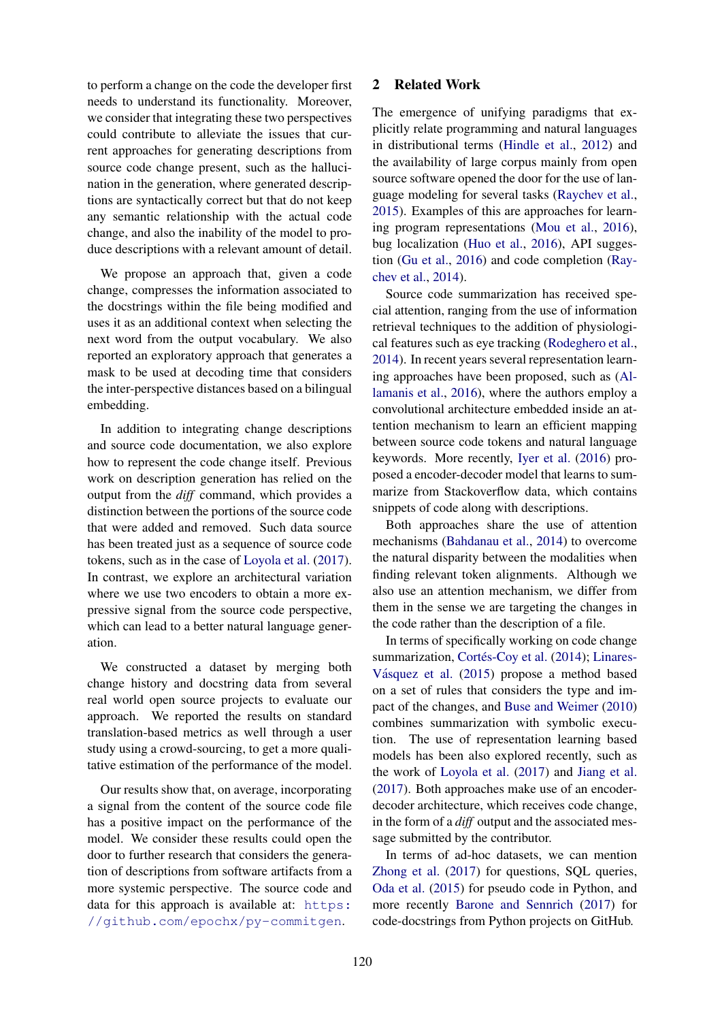to perform a change on the code the developer first needs to understand its functionality. Moreover, we consider that integrating these two perspectives could contribute to alleviate the issues that current approaches for generating descriptions from source code change present, such as the hallucination in the generation, where generated descriptions are syntactically correct but that do not keep any semantic relationship with the actual code change, and also the inability of the model to produce descriptions with a relevant amount of detail.

We propose an approach that, given a code change, compresses the information associated to the docstrings within the file being modified and uses it as an additional context when selecting the next word from the output vocabulary. We also reported an exploratory approach that generates a mask to be used at decoding time that considers the inter-perspective distances based on a bilingual embedding.

In addition to integrating change descriptions and source code documentation, we also explore how to represent the code change itself. Previous work on description generation has relied on the output from the *diff* command, which provides a distinction between the portions of the source code that were added and removed. Such data source has been treated just as a sequence of source code tokens, such as in the case of [Loyola et al.](#page-9-2) [\(2017\)](#page-9-2). In contrast, we explore an architectural variation where we use two encoders to obtain a more expressive signal from the source code perspective, which can lead to a better natural language generation.

We constructed a dataset by merging both change history and docstring data from several real world open source projects to evaluate our approach. We reported the results on standard translation-based metrics as well through a user study using a crowd-sourcing, to get a more qualitative estimation of the performance of the model.

Our results show that, on average, incorporating a signal from the content of the source code file has a positive impact on the performance of the model. We consider these results could open the door to further research that considers the generation of descriptions from software artifacts from a more systemic perspective. The source code and data for this approach is available at: [https:](https://github.com/epochx/py-commitgen) [//github.com/epochx/py-commitgen](https://github.com/epochx/py-commitgen).

# 2 Related Work

The emergence of unifying paradigms that explicitly relate programming and natural languages in distributional terms [\(Hindle et al.,](#page-8-2) [2012\)](#page-8-2) and the availability of large corpus mainly from open source software opened the door for the use of language modeling for several tasks [\(Raychev et al.,](#page-9-3) [2015\)](#page-9-3). Examples of this are approaches for learning program representations [\(Mou et al.,](#page-9-4) [2016\)](#page-9-4), bug localization [\(Huo et al.,](#page-8-3) [2016\)](#page-8-3), API suggestion [\(Gu et al.,](#page-8-4) [2016\)](#page-8-4) and code completion [\(Ray](#page-9-5)[chev et al.,](#page-9-5) [2014\)](#page-9-5).

Source code summarization has received special attention, ranging from the use of information retrieval techniques to the addition of physiological features such as eye tracking [\(Rodeghero et al.,](#page-9-6) [2014\)](#page-9-6). In recent years several representation learning approaches have been proposed, such as [\(Al](#page-8-1)[lamanis et al.,](#page-8-1) [2016\)](#page-8-1), where the authors employ a convolutional architecture embedded inside an attention mechanism to learn an efficient mapping between source code tokens and natural language keywords. More recently, [Iyer et al.](#page-8-5) [\(2016\)](#page-8-5) proposed a encoder-decoder model that learns to summarize from Stackoverflow data, which contains snippets of code along with descriptions.

Both approaches share the use of attention mechanisms [\(Bahdanau et al.,](#page-8-6) [2014\)](#page-8-6) to overcome the natural disparity between the modalities when finding relevant token alignments. Although we also use an attention mechanism, we differ from them in the sense we are targeting the changes in the code rather than the description of a file.

In terms of specifically working on code change summarization, Cortés-Coy et al. [\(2014\)](#page-8-7); [Linares-](#page-9-7)Vásquez et al. [\(2015\)](#page-9-7) propose a method based on a set of rules that considers the type and impact of the changes, and [Buse and Weimer](#page-8-8) [\(2010\)](#page-8-8) combines summarization with symbolic execution. The use of representation learning based models has been also explored recently, such as the work of [Loyola et al.](#page-9-2) [\(2017\)](#page-9-2) and [Jiang et al.](#page-8-9) [\(2017\)](#page-8-9). Both approaches make use of an encoderdecoder architecture, which receives code change, in the form of a *diff* output and the associated message submitted by the contributor.

In terms of ad-hoc datasets, we can mention [Zhong et al.](#page-9-8) [\(2017\)](#page-9-8) for questions, SQL queries, [Oda et al.](#page-9-0) [\(2015\)](#page-9-0) for pseudo code in Python, and more recently [Barone and Sennrich](#page-8-10) [\(2017\)](#page-8-10) for code-docstrings from Python projects on GitHub.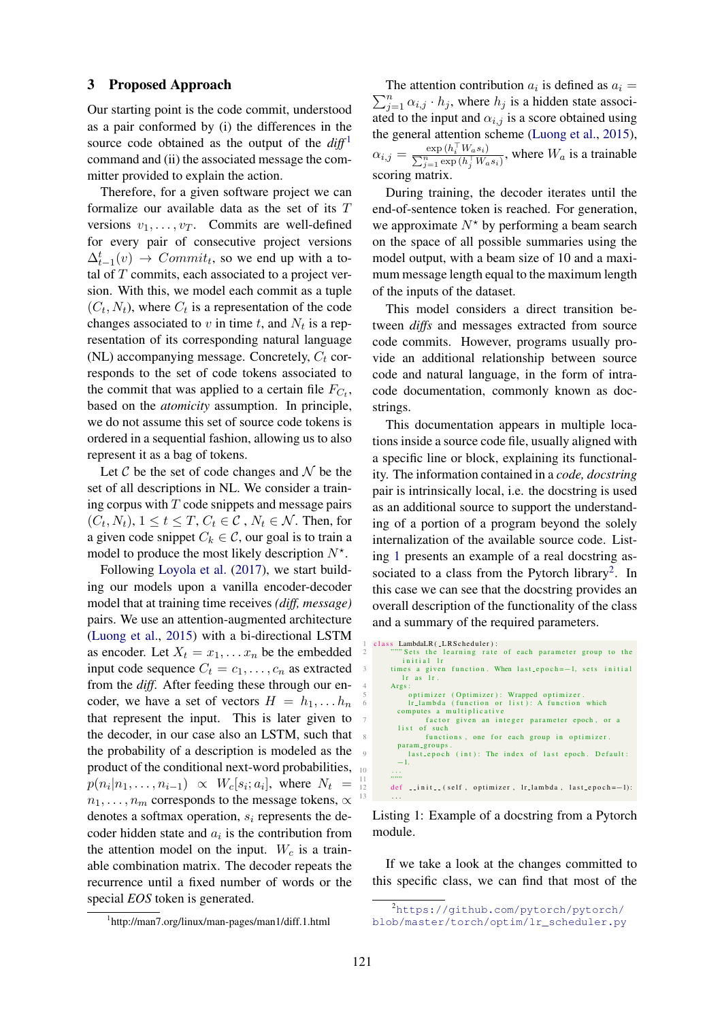### 3 Proposed Approach

Our starting point is the code commit, understood as a pair conformed by (i) the differences in the source code obtained as the output of the  $diff<sup>1</sup>$  $diff<sup>1</sup>$  $diff<sup>1</sup>$ command and (ii) the associated message the committer provided to explain the action.

Therefore, for a given software project we can formalize our available data as the set of its T versions  $v_1, \ldots, v_T$ . Commits are well-defined for every pair of consecutive project versions  $\Delta_{t-1}^t(v) \rightarrow \text{Commit}_t$ , so we end up with a total of  $T$  commits, each associated to a project version. With this, we model each commit as a tuple  $(C_t, N_t)$ , where  $C_t$  is a representation of the code changes associated to  $v$  in time  $t$ , and  $N_t$  is a representation of its corresponding natural language (NL) accompanying message. Concretely,  $C_t$  corresponds to the set of code tokens associated to the commit that was applied to a certain file  $F_{C_t}$ , based on the *atomicity* assumption. In principle, we do not assume this set of source code tokens is ordered in a sequential fashion, allowing us to also represent it as a bag of tokens.

Let  $\mathcal C$  be the set of code changes and  $\mathcal N$  be the set of all descriptions in NL. We consider a training corpus with  $T$  code snippets and message pairs  $(C_t, N_t)$ ,  $1 \le t \le T$ ,  $C_t \in \mathcal{C}$ ,  $N_t \in \mathcal{N}$ . Then, for a given code snippet  $C_k \in \mathcal{C}$ , our goal is to train a model to produce the most likely description  $N^*$ .

Following [Loyola et al.](#page-9-2) [\(2017\)](#page-9-2), we start building our models upon a vanilla encoder-decoder model that at training time receives *(diff, message)* pairs. We use an attention-augmented architecture [\(Luong et al.,](#page-9-9) [2015\)](#page-9-9) with a bi-directional LSTM as encoder. Let  $X_t = x_1, \ldots, x_n$  be the embedded input code sequence  $C_t = c_1, \ldots, c_n$  as extracted from the *diff*. After feeding these through our encoder, we have a set of vectors  $H = h_1, \ldots, h_n$ that represent the input. This is later given to the decoder, in our case also an LSTM, such that the probability of a description is modeled as the product of the conditional next-word probabilities,  $\frac{1}{10}$  $p(n_i|n_1,\ldots,n_{i-1}) \propto W_c[s_i;a_i],$  where  $N_t =$  $n_1, \ldots, n_m$  corresponds to the message tokens,  $\propto$ denotes a softmax operation,  $s_i$  represents the decoder hidden state and  $a_i$  is the contribution from the attention model on the input.  $W_c$  is a trainable combination matrix. The decoder repeats the recurrence until a fixed number of words or the special *EOS* token is generated.

1 http://man7.org/linux/man-pages/man1/diff.1.html

The attention contribution  $a_i$  is defined as  $a_i =$  $\sum_{j=1}^{n} \alpha_{i,j} \cdot h_j$ , where  $h_j$  is a hidden state associated to the input and  $\alpha_{i,j}$  is a score obtained using the general attention scheme [\(Luong et al.,](#page-9-9) [2015\)](#page-9-9),  $\alpha_{i,j} = \frac{\exp\left(h_i^{\top} W_a s_i\right)}{\sum_{i}^n \exp\left(h_i^{\top} W_i\right)}$  $\frac{\exp(n_i \cdot Wasi)}{\sum_{j=1}^n \exp(n_i^T Wasi)}$ , where  $W_a$  is a trainable scoring matrix.

During training, the decoder iterates until the end-of-sentence token is reached. For generation, we approximate  $N^*$  by performing a beam search on the space of all possible summaries using the model output, with a beam size of 10 and a maximum message length equal to the maximum length of the inputs of the dataset.

This model considers a direct transition between *diffs* and messages extracted from source code commits. However, programs usually provide an additional relationship between source code and natural language, in the form of intracode documentation, commonly known as docstrings.

This documentation appears in multiple locations inside a source code file, usually aligned with a specific line or block, explaining its functionality. The information contained in a *code, docstring* pair is intrinsically local, i.e. the docstring is used as an additional source to support the understanding of a portion of a program beyond the solely internalization of the available source code. Listing [1](#page-2-0) presents an example of a real docstring as-sociated to a class from the Pytorch library<sup>[2](#page-0-0)</sup>. In this case we can see that the docstring provides an overall description of the functionality of the class and a summary of the required parameters.

<span id="page-2-0"></span>

| 1              | class LambdaLR(_LRScheduler):                              |
|----------------|------------------------------------------------------------|
| $\mathfrak{2}$ | ""Sets the learning rate of each parameter group to the    |
|                | initial lr                                                 |
| 3              | times a given function. When last_epoch = -1, sets initial |
|                | $lr$ as $lr$ .                                             |
| 4              | Args:                                                      |
| 5              | optimizer (Optimizer): Wrapped optimizer.                  |
| 6              | Ir_lambda (function or list): A function which             |
|                | computes a multiplicative                                  |
| $\tau$         | factor given an integer parameter epoch, or a              |
|                | list of such                                               |
| 8              | functions, one for each group in optimizer.                |
|                | param_groups.                                              |
| Q              | last_epoch (int): The index of last epoch. Default:        |
|                | $-1.$                                                      |
| 10             |                                                            |
| 11             | ,,,,,,                                                     |
| 12             | def _init_(self, optimizer, lr_lambda, last_epoch = -1):   |
| 13             | .                                                          |

Listing 1: Example of a docstring from a Pytorch module.

If we take a look at the changes committed to this specific class, we can find that most of the

<sup>2</sup>[https://github.com/pytorch/pytorch/](https://github.com/pytorch/pytorch/blob/master/torch/optim/lr_scheduler.py) [blob/master/torch/optim/lr\\_scheduler.py](https://github.com/pytorch/pytorch/blob/master/torch/optim/lr_scheduler.py)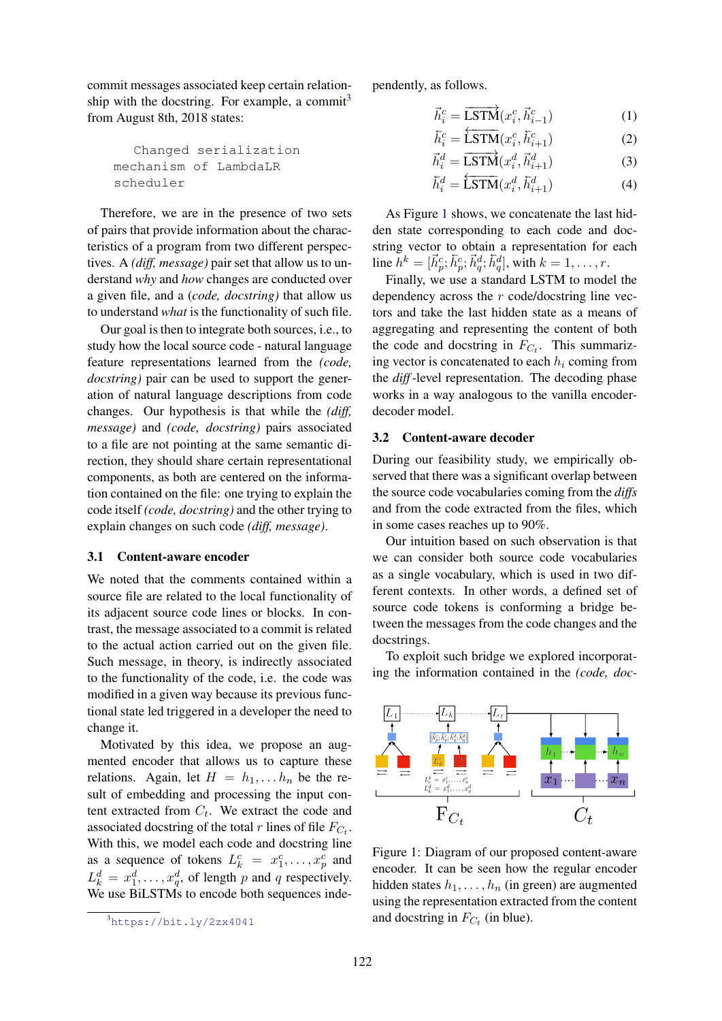commit messages associated keep certain relationship with the docstring. For example, a commit $3$ from August 8th, 2018 states:

```
Changed serialization
mechanism of LambdaLR
scheduler
```
Therefore, we are in the presence of two sets of pairs that provide information about the characteristics of a program from two different perspectives. A *(diff, message)* pair set that allow us to understand *why* and *how* changes are conducted over a given file, and a (*code, docstring)* that allow us to understand *what* is the functionality of such file.

Our goal is then to integrate both sources, i.e., to study how the local source code - natural language feature representations learned from the *(code, docstring)* pair can be used to support the generation of natural language descriptions from code changes. Our hypothesis is that while the *(diff, message)* and *(code, docstring)* pairs associated to a file are not pointing at the same semantic direction, they should share certain representational components, as both are centered on the information contained on the file: one trying to explain the code itself *(code, docstring)* and the other trying to explain changes on such code *(diff, message)*.

## 3.1 Content-aware encoder

We noted that the comments contained within a source file are related to the local functionality of its adjacent source code lines or blocks. In contrast, the message associated to a commit is related to the actual action carried out on the given file. Such message, in theory, is indirectly associated to the functionality of the code, i.e. the code was modified in a given way because its previous functional state led triggered in a developer the need to change it.

Motivated by this idea, we propose an augmented encoder that allows us to capture these relations. Again, let  $H = h_1, \ldots, h_n$  be the result of embedding and processing the input content extracted from  $C_t$ . We extract the code and associated docstring of the total r lines of file  $F_{C_t}$ . With this, we model each code and docstring line as a sequence of tokens  $L_k^c = x_1^c, \dots, x_p^c$  and  $L_k^d = x_1^d, \dots, x_q^d$ , of length p and q respectively. We use BiLSTMs to encode both sequences independently, as follows.

$$
\vec{h}_i^c = \overrightarrow{\text{LSTM}}(x_i^c, \vec{h}_{i-1}^c)
$$
 (1)

$$
\overleftarrow{h}_i^c = \overleftarrow{\text{LSTM}}(x_i^c, \overleftarrow{h}_{i+1}^c) \tag{2}
$$

$$
\vec{h}_i^d = \overrightarrow{\text{LSTM}}(x_i^d, \vec{h}_{i+1}^d)
$$
 (3)

$$
\overline{h}_i^d = \overleftarrow{\text{LSTM}}(x_i^d, \overline{h}_{i+1}^d)
$$
 (4)

As Figure [1](#page-3-0) shows, we concatenate the last hidden state corresponding to each code and docstring vector to obtain a representation for each line  $h^k = [\vec{h}_p^c; \vec{h}_p^c; \vec{h}_q^d; \vec{h}_q^d]$ , with  $k = 1, \dots, r$ .

Finally, we use a standard LSTM to model the dependency across the r code/docstring line vectors and take the last hidden state as a means of aggregating and representing the content of both the code and docstring in  $F_{C_t}$ . This summarizing vector is concatenated to each  $h_i$  coming from the *diff*-level representation. The decoding phase works in a way analogous to the vanilla encoderdecoder model.

#### 3.2 Content-aware decoder

During our feasibility study, we empirically observed that there was a significant overlap between the source code vocabularies coming from the *diffs* and from the code extracted from the files, which in some cases reaches up to 90%.

Our intuition based on such observation is that we can consider both source code vocabularies as a single vocabulary, which is used in two different contexts. In other words, a defined set of source code tokens is conforming a bridge between the messages from the code changes and the docstrings.

To exploit such bridge we explored incorporating the information contained in the *(code, doc-*



<span id="page-3-0"></span>Figure 1: Diagram of our proposed content-aware encoder. It can be seen how the regular encoder hidden states  $h_1, \ldots, h_n$  (in green) are augmented using the representation extracted from the content and docstring in  $F_{C_t}$  (in blue).

<sup>3</sup><https://bit.ly/2zx4041>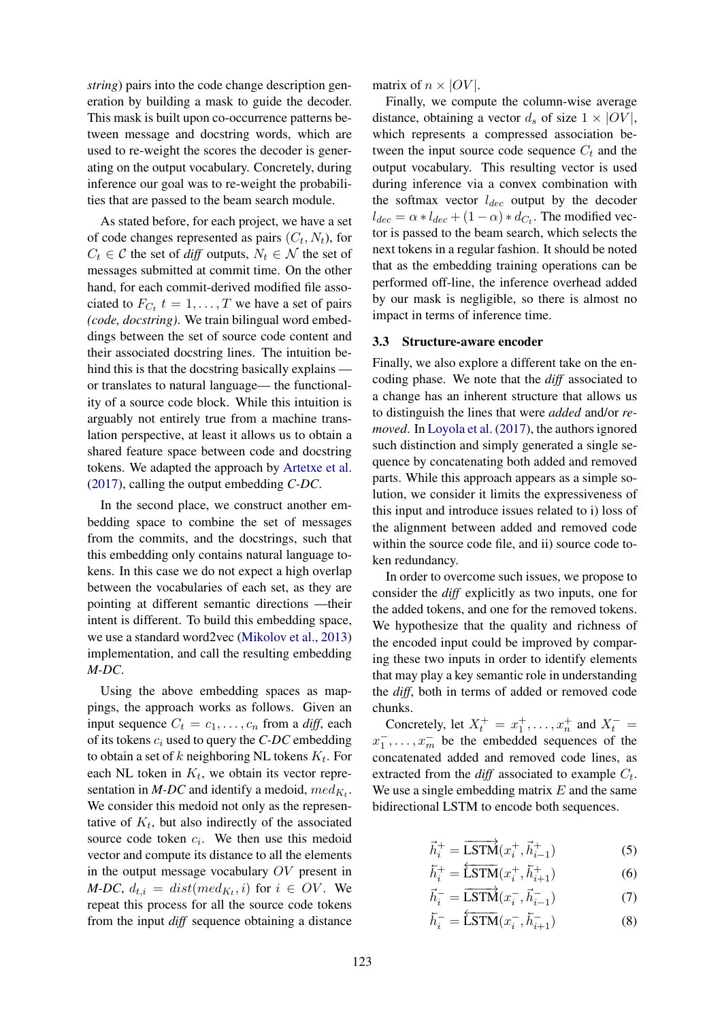*string*) pairs into the code change description generation by building a mask to guide the decoder. This mask is built upon co-occurrence patterns between message and docstring words, which are used to re-weight the scores the decoder is generating on the output vocabulary. Concretely, during inference our goal was to re-weight the probabilities that are passed to the beam search module.

As stated before, for each project, we have a set of code changes represented as pairs  $(C_t, N_t)$ , for  $C_t \in \mathcal{C}$  the set of *diff* outputs,  $N_t \in \mathcal{N}$  the set of messages submitted at commit time. On the other hand, for each commit-derived modified file associated to  $F_{C_t}$   $t = 1, \ldots, T$  we have a set of pairs *(code, docstring)*. We train bilingual word embeddings between the set of source code content and their associated docstring lines. The intuition behind this is that the docstring basically explains or translates to natural language— the functionality of a source code block. While this intuition is arguably not entirely true from a machine translation perspective, at least it allows us to obtain a shared feature space between code and docstring tokens. We adapted the approach by [Artetxe et al.](#page-8-11) [\(2017\)](#page-8-11), calling the output embedding *C-DC*.

In the second place, we construct another embedding space to combine the set of messages from the commits, and the docstrings, such that this embedding only contains natural language tokens. In this case we do not expect a high overlap between the vocabularies of each set, as they are pointing at different semantic directions —their intent is different. To build this embedding space, we use a standard word2vec [\(Mikolov et al.,](#page-9-10) [2013\)](#page-9-10) implementation, and call the resulting embedding *M-DC*.

Using the above embedding spaces as mappings, the approach works as follows. Given an input sequence  $C_t = c_1, \ldots, c_n$  from a *diff*, each of its tokens  $c_i$  used to query the *C-DC* embedding to obtain a set of k neighboring NL tokens  $K_t$ . For each NL token in  $K_t$ , we obtain its vector representation in *M-DC* and identify a medoid,  $med_{K_t}$ . We consider this medoid not only as the representative of  $K_t$ , but also indirectly of the associated source code token  $c_i$ . We then use this medoid vector and compute its distance to all the elements in the output message vocabulary OV present in *M-DC*,  $d_{t,i} = dist(med_{K_t}, i)$  for  $i \in OV$ . We repeat this process for all the source code tokens from the input *diff* sequence obtaining a distance matrix of  $n \times |OV|$ .

Finally, we compute the column-wise average distance, obtaining a vector  $d_s$  of size  $1 \times |OV|$ , which represents a compressed association between the input source code sequence  $C_t$  and the output vocabulary. This resulting vector is used during inference via a convex combination with the softmax vector  $l_{dec}$  output by the decoder  $l_{dec} = \alpha * l_{dec} + (1 - \alpha) * d_{C_t}$ . The modified vector is passed to the beam search, which selects the next tokens in a regular fashion. It should be noted that as the embedding training operations can be performed off-line, the inference overhead added by our mask is negligible, so there is almost no impact in terms of inference time.

# 3.3 Structure-aware encoder

Finally, we also explore a different take on the encoding phase. We note that the *diff* associated to a change has an inherent structure that allows us to distinguish the lines that were *added* and/or *removed*. In [Loyola et al.](#page-9-2) [\(2017\)](#page-9-2), the authors ignored such distinction and simply generated a single sequence by concatenating both added and removed parts. While this approach appears as a simple solution, we consider it limits the expressiveness of this input and introduce issues related to i) loss of the alignment between added and removed code within the source code file, and ii) source code token redundancy.

In order to overcome such issues, we propose to consider the *diff* explicitly as two inputs, one for the added tokens, and one for the removed tokens. We hypothesize that the quality and richness of the encoded input could be improved by comparing these two inputs in order to identify elements that may play a key semantic role in understanding the *diff*, both in terms of added or removed code chunks.

Concretely, let  $X_t^+ = x_1^+, \ldots, x_n^+$  and  $X_t^- =$  $x_1^-, \ldots, x_m^-$  be the embedded sequences of the concatenated added and removed code lines, as extracted from the  $diff$  associated to example  $C_t$ . We use a single embedding matrix  $E$  and the same bidirectional LSTM to encode both sequences.

$$
\vec{h}_i^+ = \overrightarrow{\text{LSTM}}(x_i^+, \vec{h}_{i-1}^+) \tag{5}
$$

$$
\bar{h}_i^+ = \overleftarrow{\text{LSTM}}(x_i^+, \bar{h}_{i+1}^+) \tag{6}
$$

$$
\vec{h}_i^- = \overrightarrow{\text{LSTM}}(x_i^-, \vec{h}_{i-1}^-) \tag{7}
$$

$$
\overline{h}_{i}^{-} = \overleftarrow{\text{LSTM}}(x_{i}^{-}, \overline{h}_{i+1}^{-})
$$
 (8)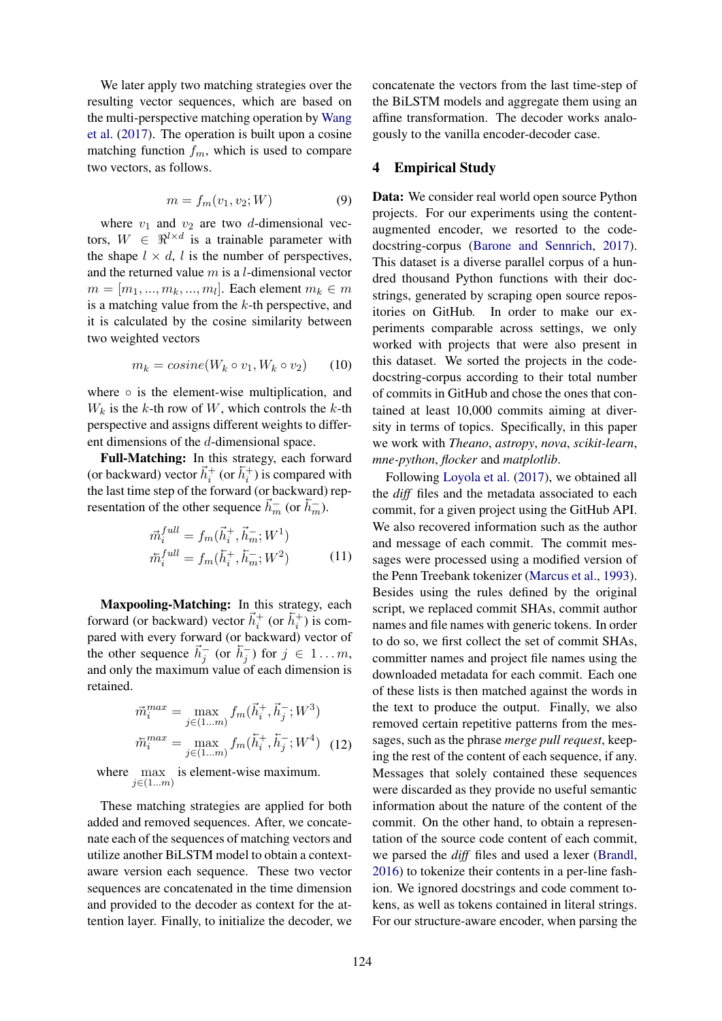We later apply two matching strategies over the resulting vector sequences, which are based on the multi-perspective matching operation by [Wang](#page-9-11) [et al.](#page-9-11) [\(2017\)](#page-9-11). The operation is built upon a cosine matching function  $f_m$ , which is used to compare two vectors, as follows.

$$
m = f_m(v_1, v_2; W) \tag{9}
$$

where  $v_1$  and  $v_2$  are two d-dimensional vectors,  $W \in \mathbb{R}^{l \times d}$  is a trainable parameter with the shape  $l \times d$ , l is the number of perspectives, and the returned value  $m$  is a *l*-dimensional vector  $m = [m_1, ..., m_k, ..., m_l]$ . Each element  $m_k \in m$ is a matching value from the  $k$ -th perspective, and it is calculated by the cosine similarity between two weighted vectors

$$
m_k = cosine(W_k \circ v_1, W_k \circ v_2) \qquad (10)
$$

where ∘ is the element-wise multiplication, and  $W_k$  is the k-th row of W, which controls the k-th perspective and assigns different weights to different dimensions of the d-dimensional space.

Full-Matching: In this strategy, each forward (or backward) vector  $\vec{h}_i^+$  (or  $\vec{h}_i^+$ ) is compared with the last time step of the forward (or backward) representation of the other sequence  $\vec{h}_m^-$  (or  $\vec{h}_m^-$ ).

$$
\begin{aligned}\n\vec{m}_i^{full} &= f_m(\vec{h}_i^+, \vec{h}_m^-; W^1) \\
\vec{m}_i^{full} &= f_m(\vec{h}_i^+, \vec{h}_m^-; W^2)\n\end{aligned} \tag{11}
$$

Maxpooling-Matching: In this strategy, each forward (or backward) vector  $\vec{h}_i^+$  (or  $\vec{h}_i^+$ ) is compared with every forward (or backward) vector of the other sequence  $\vec{h}_j^-$  (or  $\vec{h}_j^-$ ) for  $j \in 1...m$ , and only the maximum value of each dimension is retained.

$$
\vec{m}_i^{max} = \max_{j \in (1...m)} f_m(\vec{h}_i^+, \vec{h}_j^-; W^3)
$$

$$
\vec{m}_i^{max} = \max_{j \in (1...m)} f_m(\vec{h}_i^+, \vec{h}_j^-; W^4) \quad (12)
$$

where  $\max_{j \in (1...m)}$  is element-wise maximum.

These matching strategies are applied for both added and removed sequences. After, we concatenate each of the sequences of matching vectors and utilize another BiLSTM model to obtain a contextaware version each sequence. These two vector sequences are concatenated in the time dimension and provided to the decoder as context for the attention layer. Finally, to initialize the decoder, we concatenate the vectors from the last time-step of the BiLSTM models and aggregate them using an affine transformation. The decoder works analogously to the vanilla encoder-decoder case.

# 4 Empirical Study

Data: We consider real world open source Python projects. For our experiments using the contentaugmented encoder, we resorted to the codedocstring-corpus [\(Barone and Sennrich,](#page-8-10) [2017\)](#page-8-10). This dataset is a diverse parallel corpus of a hundred thousand Python functions with their docstrings, generated by scraping open source repositories on GitHub. In order to make our experiments comparable across settings, we only worked with projects that were also present in this dataset. We sorted the projects in the codedocstring-corpus according to their total number of commits in GitHub and chose the ones that contained at least 10,000 commits aiming at diversity in terms of topics. Specifically, in this paper we work with *Theano*, *astropy*, *nova*, *scikit-learn*, *mne-python*, *flocker* and *matplotlib*.

Following [Loyola et al.](#page-9-2) [\(2017\)](#page-9-2), we obtained all the *diff* files and the metadata associated to each commit, for a given project using the GitHub API. We also recovered information such as the author and message of each commit. The commit messages were processed using a modified version of the Penn Treebank tokenizer [\(Marcus et al.,](#page-9-12) [1993\)](#page-9-12). Besides using the rules defined by the original script, we replaced commit SHAs, commit author names and file names with generic tokens. In order to do so, we first collect the set of commit SHAs, committer names and project file names using the downloaded metadata for each commit. Each one of these lists is then matched against the words in the text to produce the output. Finally, we also removed certain repetitive patterns from the messages, such as the phrase *merge pull request*, keeping the rest of the content of each sequence, if any. Messages that solely contained these sequences were discarded as they provide no useful semantic information about the nature of the content of the commit. On the other hand, to obtain a representation of the source code content of each commit, we parsed the *diff* files and used a lexer [\(Brandl,](#page-8-12) [2016\)](#page-8-12) to tokenize their contents in a per-line fashion. We ignored docstrings and code comment tokens, as well as tokens contained in literal strings. For our structure-aware encoder, when parsing the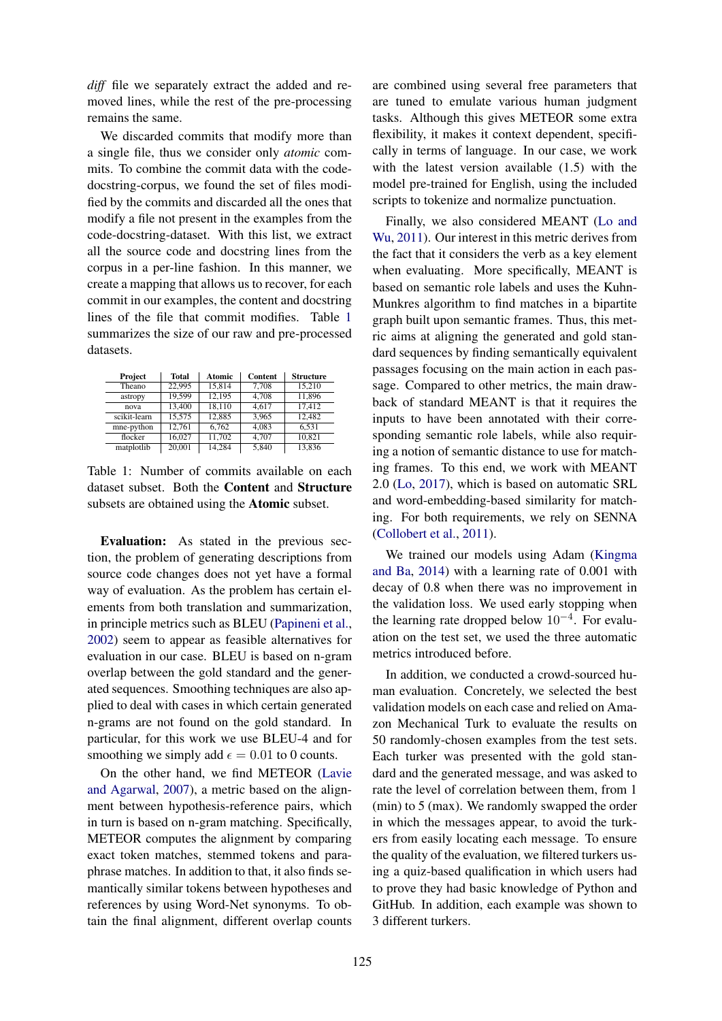*diff* file we separately extract the added and removed lines, while the rest of the pre-processing remains the same.

We discarded commits that modify more than a single file, thus we consider only *atomic* commits. To combine the commit data with the codedocstring-corpus, we found the set of files modified by the commits and discarded all the ones that modify a file not present in the examples from the code-docstring-dataset. With this list, we extract all the source code and docstring lines from the corpus in a per-line fashion. In this manner, we create a mapping that allows us to recover, for each commit in our examples, the content and docstring lines of the file that commit modifies. Table [1](#page-6-0) summarizes the size of our raw and pre-processed datasets.

| Project      | <b>Total</b> | Atomic | <b>Content</b> | <b>Structure</b> |
|--------------|--------------|--------|----------------|------------------|
| Theano       | 22,995       | 15.814 | 7.708          | 15.210           |
| astropy      | 19.599       | 12.195 | 4.708          | 11.896           |
| nova         | 13,400       | 18.110 | 4.617          | 17.412           |
| scikit-learn | 15.575       | 12,885 | 3.965          | 12.482           |
| mne-python   | 12.761       | 6.762  | 4.083          | 6.531            |
| flocker      | 16.027       | 11.702 | 4.707          | 10.821           |
| matplotlib   | 20,001       | 14.284 | 5.840          | 13,836           |

<span id="page-6-0"></span>Table 1: Number of commits available on each dataset subset. Both the Content and Structure subsets are obtained using the Atomic subset.

Evaluation: As stated in the previous section, the problem of generating descriptions from source code changes does not yet have a formal way of evaluation. As the problem has certain elements from both translation and summarization, in principle metrics such as BLEU [\(Papineni et al.,](#page-9-13) [2002\)](#page-9-13) seem to appear as feasible alternatives for evaluation in our case. BLEU is based on n-gram overlap between the gold standard and the generated sequences. Smoothing techniques are also applied to deal with cases in which certain generated n-grams are not found on the gold standard. In particular, for this work we use BLEU-4 and for smoothing we simply add  $\epsilon = 0.01$  to 0 counts.

On the other hand, we find METEOR [\(Lavie](#page-9-14) [and Agarwal,](#page-9-14) [2007\)](#page-9-14), a metric based on the alignment between hypothesis-reference pairs, which in turn is based on n-gram matching. Specifically, METEOR computes the alignment by comparing exact token matches, stemmed tokens and paraphrase matches. In addition to that, it also finds semantically similar tokens between hypotheses and references by using Word-Net synonyms. To obtain the final alignment, different overlap counts

are combined using several free parameters that are tuned to emulate various human judgment tasks. Although this gives METEOR some extra flexibility, it makes it context dependent, specifically in terms of language. In our case, we work with the latest version available (1.5) with the model pre-trained for English, using the included scripts to tokenize and normalize punctuation.

Finally, we also considered MEANT [\(Lo and](#page-9-15) [Wu,](#page-9-15) [2011\)](#page-9-15). Our interest in this metric derives from the fact that it considers the verb as a key element when evaluating. More specifically, MEANT is based on semantic role labels and uses the Kuhn-Munkres algorithm to find matches in a bipartite graph built upon semantic frames. Thus, this metric aims at aligning the generated and gold standard sequences by finding semantically equivalent passages focusing on the main action in each passage. Compared to other metrics, the main drawback of standard MEANT is that it requires the inputs to have been annotated with their corresponding semantic role labels, while also requiring a notion of semantic distance to use for matching frames. To this end, we work with MEANT 2.0 [\(Lo,](#page-9-16) [2017\)](#page-9-16), which is based on automatic SRL and word-embedding-based similarity for matching. For both requirements, we rely on SENNA [\(Collobert et al.,](#page-8-13) [2011\)](#page-8-13).

We trained our models using Adam [\(Kingma](#page-8-14) [and Ba,](#page-8-14) [2014\)](#page-8-14) with a learning rate of 0.001 with decay of 0.8 when there was no improvement in the validation loss. We used early stopping when the learning rate dropped below  $10^{-4}$ . For evaluation on the test set, we used the three automatic metrics introduced before.

In addition, we conducted a crowd-sourced human evaluation. Concretely, we selected the best validation models on each case and relied on Amazon Mechanical Turk to evaluate the results on 50 randomly-chosen examples from the test sets. Each turker was presented with the gold standard and the generated message, and was asked to rate the level of correlation between them, from 1 (min) to 5 (max). We randomly swapped the order in which the messages appear, to avoid the turkers from easily locating each message. To ensure the quality of the evaluation, we filtered turkers using a quiz-based qualification in which users had to prove they had basic knowledge of Python and GitHub. In addition, each example was shown to 3 different turkers.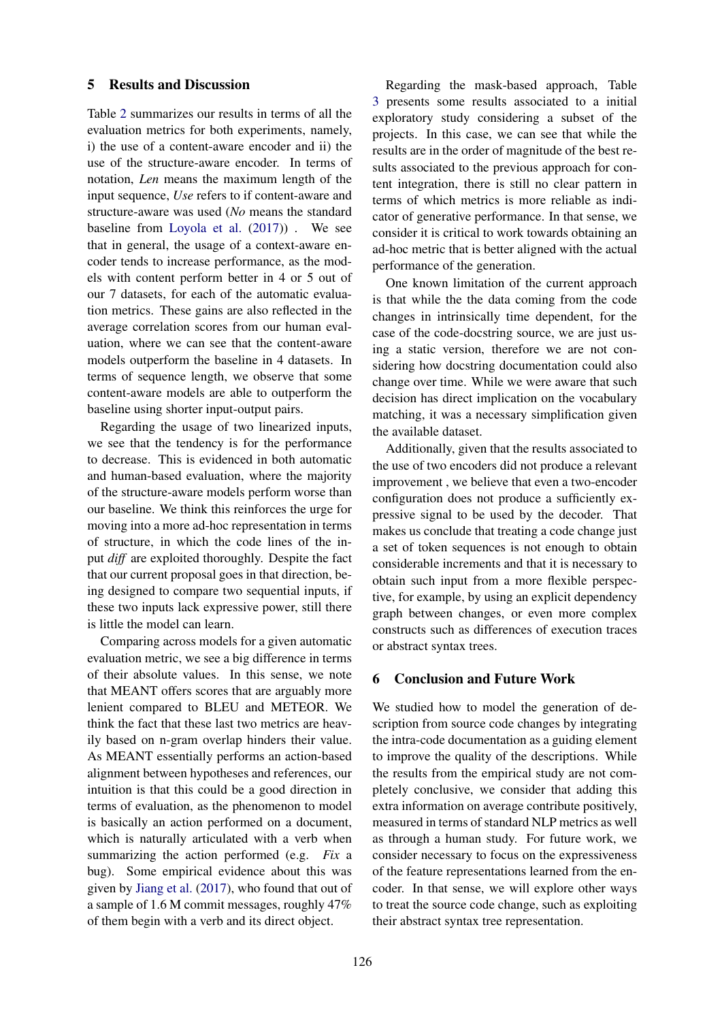## 5 Results and Discussion

Table [2](#page-8-15) summarizes our results in terms of all the evaluation metrics for both experiments, namely, i) the use of a content-aware encoder and ii) the use of the structure-aware encoder. In terms of notation, *Len* means the maximum length of the input sequence, *Use* refers to if content-aware and structure-aware was used (*No* means the standard baseline from [Loyola et al.](#page-9-2) [\(2017\)](#page-9-2)) . We see that in general, the usage of a context-aware encoder tends to increase performance, as the models with content perform better in 4 or 5 out of our 7 datasets, for each of the automatic evaluation metrics. These gains are also reflected in the average correlation scores from our human evaluation, where we can see that the content-aware models outperform the baseline in 4 datasets. In terms of sequence length, we observe that some content-aware models are able to outperform the baseline using shorter input-output pairs.

Regarding the usage of two linearized inputs, we see that the tendency is for the performance to decrease. This is evidenced in both automatic and human-based evaluation, where the majority of the structure-aware models perform worse than our baseline. We think this reinforces the urge for moving into a more ad-hoc representation in terms of structure, in which the code lines of the input *diff* are exploited thoroughly. Despite the fact that our current proposal goes in that direction, being designed to compare two sequential inputs, if these two inputs lack expressive power, still there is little the model can learn.

Comparing across models for a given automatic evaluation metric, we see a big difference in terms of their absolute values. In this sense, we note that MEANT offers scores that are arguably more lenient compared to BLEU and METEOR. We think the fact that these last two metrics are heavily based on n-gram overlap hinders their value. As MEANT essentially performs an action-based alignment between hypotheses and references, our intuition is that this could be a good direction in terms of evaluation, as the phenomenon to model is basically an action performed on a document, which is naturally articulated with a verb when summarizing the action performed (e.g. *Fix* a bug). Some empirical evidence about this was given by [Jiang et al.](#page-8-9) [\(2017\)](#page-8-9), who found that out of a sample of 1.6 M commit messages, roughly 47% of them begin with a verb and its direct object.

Regarding the mask-based approach, Table [3](#page-8-16) presents some results associated to a initial exploratory study considering a subset of the projects. In this case, we can see that while the results are in the order of magnitude of the best results associated to the previous approach for content integration, there is still no clear pattern in terms of which metrics is more reliable as indicator of generative performance. In that sense, we consider it is critical to work towards obtaining an ad-hoc metric that is better aligned with the actual performance of the generation.

One known limitation of the current approach is that while the the data coming from the code changes in intrinsically time dependent, for the case of the code-docstring source, we are just using a static version, therefore we are not considering how docstring documentation could also change over time. While we were aware that such decision has direct implication on the vocabulary matching, it was a necessary simplification given the available dataset.

Additionally, given that the results associated to the use of two encoders did not produce a relevant improvement , we believe that even a two-encoder configuration does not produce a sufficiently expressive signal to be used by the decoder. That makes us conclude that treating a code change just a set of token sequences is not enough to obtain considerable increments and that it is necessary to obtain such input from a more flexible perspective, for example, by using an explicit dependency graph between changes, or even more complex constructs such as differences of execution traces or abstract syntax trees.

# 6 Conclusion and Future Work

We studied how to model the generation of description from source code changes by integrating the intra-code documentation as a guiding element to improve the quality of the descriptions. While the results from the empirical study are not completely conclusive, we consider that adding this extra information on average contribute positively, measured in terms of standard NLP metrics as well as through a human study. For future work, we consider necessary to focus on the expressiveness of the feature representations learned from the encoder. In that sense, we will explore other ways to treat the source code change, such as exploiting their abstract syntax tree representation.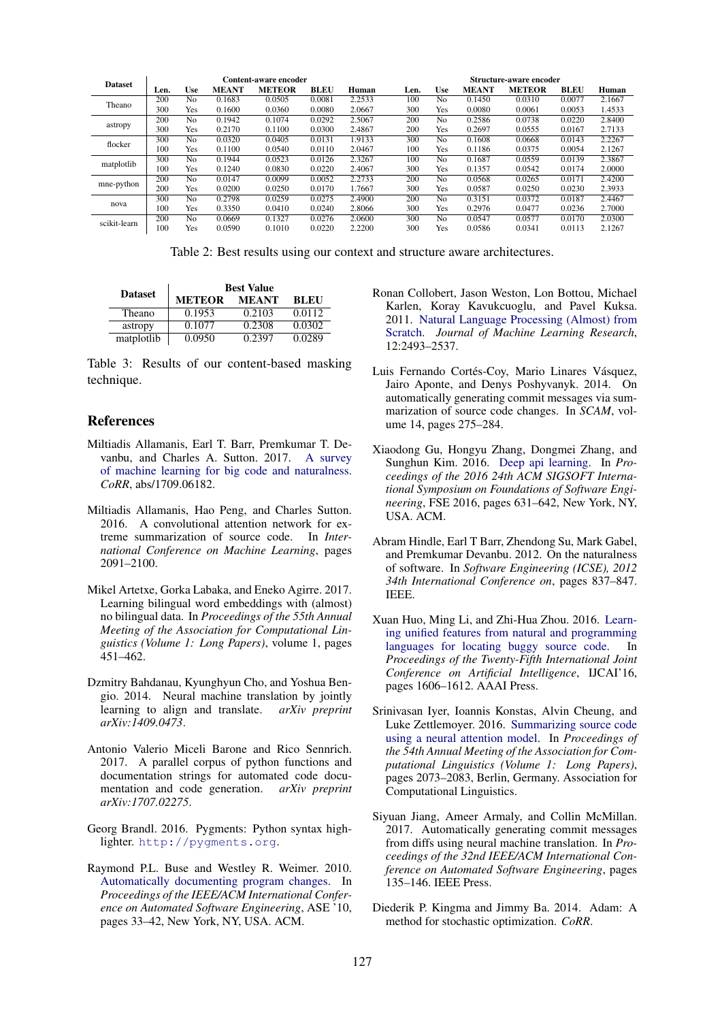| <b>Dataset</b> | Content-aware encoder |                |              |               |             |        | <b>Structure-aware encoder</b> |                |              |               |             |        |
|----------------|-----------------------|----------------|--------------|---------------|-------------|--------|--------------------------------|----------------|--------------|---------------|-------------|--------|
|                | Len.                  | Use            | <b>MEANT</b> | <b>METEOR</b> | <b>BLEU</b> | Human  | Len.                           | Use            | <b>MEANT</b> | <b>METEOR</b> | <b>BLEU</b> | Human  |
| Theano         | 200                   | No             | 0.1683       | 0.0505        | 0.0081      | 2.2533 | 100                            | No             | 0.1450       | 0.0310        | 0.0077      | 2.1667 |
|                | 300                   | Yes            | 0.1600       | 0.0360        | 0.0080      | 2.0667 | 300                            | <b>Yes</b>     | 0.0080       | 0.0061        | 0.0053      | 1.4533 |
|                | 200                   | N <sub>0</sub> | 0.1942       | 0.1074        | 0.0292      | 2.5067 | 200                            | No             | 0.2586       | 0.0738        | 0.0220      | 2.8400 |
| astropy        | 300                   | Yes            | 0.2170       | 0.1100        | 0.0300      | 2.4867 | 200                            | Yes            | 0.2697       | 0.0555        | 0.0167      | 2.7133 |
| flocker        | 300                   | N <sub>0</sub> | 0.0320       | 0.0405        | 0.0131      | 1.9133 | 300                            | No             | 0.1608       | 0.0668        | 0.0143      | 2.2267 |
|                | 100                   | Yes            | 0.1100       | 0.0540        | 0.0110      | 2.0467 | 100                            | Yes            | 0.1186       | 0.0375        | 0.0054      | 2.1267 |
| matplotlib     | 300                   | N <sub>o</sub> | 0.1944       | 0.0523        | 0.0126      | 2.3267 | 100                            | N <sub>0</sub> | 0.1687       | 0.0559        | 0.0139      | 2.3867 |
|                | 100                   | Yes            | 0.1240       | 0.0830        | 0.0220      | 2.4067 | 300                            | <b>Yes</b>     | 0.1357       | 0.0542        | 0.0174      | 2.0000 |
| mne-python     | 200                   | N <sub>0</sub> | 0.0147       | 0.0099        | 0.0052      | 2.2733 | 200                            | No             | 0.0568       | 0.0265        | 0.0171      | 2.4200 |
|                | 200                   | Yes            | 0.0200       | 0.0250        | 0.0170      | 1.7667 | 300                            | <b>Yes</b>     | 0.0587       | 0.0250        | 0.0230      | 2.3933 |
|                | 300                   | N <sub>0</sub> | 0.2798       | 0.0259        | 0.0275      | 2.4900 | 200                            | No             | 0.3151       | 0.0372        | 0.0187      | 2.4467 |
| nova           | 100                   | Yes            | 0.3350       | 0.0410        | 0.0240      | 2.8066 | 300                            | <b>Yes</b>     | 0.2976       | 0.0477        | 0.0236      | 2.7000 |
| scikit-learn   | 200                   | N <sub>0</sub> | 0.0669       | 0.1327        | 0.0276      | 2.0600 | 300                            | No             | 0.0547       | 0.0577        | 0.0170      | 2.0300 |
|                | 100                   | Yes            | 0.0590       | 0.1010        | 0.0220      | 2.2200 | 300                            | Yes            | 0.0586       | 0.0341        | 0.0113      | 2.1267 |

<span id="page-8-15"></span>Table 2: Best results using our context and structure aware architectures.

|                | <b>Best Value</b> |              |             |  |  |  |  |  |
|----------------|-------------------|--------------|-------------|--|--|--|--|--|
| <b>Dataset</b> | <b>METEOR</b>     | <b>MEANT</b> | <b>BLEU</b> |  |  |  |  |  |
| Theano         | 0.1953            | 0.2103       | 0.0112      |  |  |  |  |  |
| astropy        | 0.1077            | 0.2308       | 0.0302      |  |  |  |  |  |
| matplotlib     | 0.0950            | 0.2397       | 0.0289      |  |  |  |  |  |

<span id="page-8-16"></span>Table 3: Results of our content-based masking technique.

### References

- <span id="page-8-0"></span>Miltiadis Allamanis, Earl T. Barr, Premkumar T. Devanbu, and Charles A. Sutton. 2017. [A survey](http://arxiv.org/abs/1709.06182) [of machine learning for big code and naturalness.](http://arxiv.org/abs/1709.06182) *CoRR*, abs/1709.06182.
- <span id="page-8-1"></span>Miltiadis Allamanis, Hao Peng, and Charles Sutton. 2016. A convolutional attention network for extreme summarization of source code. In *International Conference on Machine Learning*, pages 2091–2100.
- <span id="page-8-11"></span>Mikel Artetxe, Gorka Labaka, and Eneko Agirre. 2017. Learning bilingual word embeddings with (almost) no bilingual data. In *Proceedings of the 55th Annual Meeting of the Association for Computational Linguistics (Volume 1: Long Papers)*, volume 1, pages 451–462.
- <span id="page-8-6"></span>Dzmitry Bahdanau, Kyunghyun Cho, and Yoshua Bengio. 2014. Neural machine translation by jointly learning to align and translate. *arXiv preprint arXiv:1409.0473*.
- <span id="page-8-10"></span>Antonio Valerio Miceli Barone and Rico Sennrich. 2017. A parallel corpus of python functions and documentation strings for automated code documentation and code generation. *arXiv preprint arXiv:1707.02275*.
- <span id="page-8-12"></span>Georg Brandl. 2016. Pygments: Python syntax highlighter. <http://pygments.org>.
- <span id="page-8-8"></span>Raymond P.L. Buse and Westley R. Weimer. 2010. [Automatically documenting program changes.](https://doi.org/10.1145/1858996.1859005) In *Proceedings of the IEEE/ACM International Conference on Automated Software Engineering*, ASE '10, pages 33–42, New York, NY, USA. ACM.
- <span id="page-8-13"></span>Ronan Collobert, Jason Weston, Lon Bottou, Michael Karlen, Koray Kavukcuoglu, and Pavel Kuksa. 2011. [Natural Language Processing \(Almost\) from](http://dl.acm.org/citation.cfm?id=1953048.2078186) [Scratch.](http://dl.acm.org/citation.cfm?id=1953048.2078186) *Journal of Machine Learning Research*, 12:2493–2537.
- <span id="page-8-7"></span>Luis Fernando Cortés-Coy, Mario Linares Vásquez, Jairo Aponte, and Denys Poshyvanyk. 2014. On automatically generating commit messages via summarization of source code changes. In *SCAM*, volume 14, pages 275–284.
- <span id="page-8-4"></span>Xiaodong Gu, Hongyu Zhang, Dongmei Zhang, and Sunghun Kim. 2016. [Deep api learning.](https://doi.org/10.1145/2950290.2950334) In *Proceedings of the 2016 24th ACM SIGSOFT International Symposium on Foundations of Software Engineering*, FSE 2016, pages 631–642, New York, NY, USA. ACM.
- <span id="page-8-2"></span>Abram Hindle, Earl T Barr, Zhendong Su, Mark Gabel, and Premkumar Devanbu. 2012. On the naturalness of software. In *Software Engineering (ICSE), 2012 34th International Conference on*, pages 837–847. IEEE.
- <span id="page-8-3"></span>Xuan Huo, Ming Li, and Zhi-Hua Zhou. 2016. [Learn](http://dl.acm.org/citation.cfm?id=3060832.3060845)[ing unified features from natural and programming](http://dl.acm.org/citation.cfm?id=3060832.3060845) [languages for locating buggy source code.](http://dl.acm.org/citation.cfm?id=3060832.3060845) In *Proceedings of the Twenty-Fifth International Joint Conference on Artificial Intelligence*, IJCAI'16, pages 1606–1612. AAAI Press.
- <span id="page-8-5"></span>Srinivasan Iyer, Ioannis Konstas, Alvin Cheung, and Luke Zettlemoyer. 2016. [Summarizing source code](http://www.aclweb.org/anthology/P16-1195) [using a neural attention model.](http://www.aclweb.org/anthology/P16-1195) In *Proceedings of the 54th Annual Meeting of the Association for Computational Linguistics (Volume 1: Long Papers)*, pages 2073–2083, Berlin, Germany. Association for Computational Linguistics.
- <span id="page-8-9"></span>Siyuan Jiang, Ameer Armaly, and Collin McMillan. 2017. Automatically generating commit messages from diffs using neural machine translation. In *Proceedings of the 32nd IEEE/ACM International Conference on Automated Software Engineering*, pages 135–146. IEEE Press.
- <span id="page-8-14"></span>Diederik P. Kingma and Jimmy Ba. 2014. Adam: A method for stochastic optimization. *CoRR*.